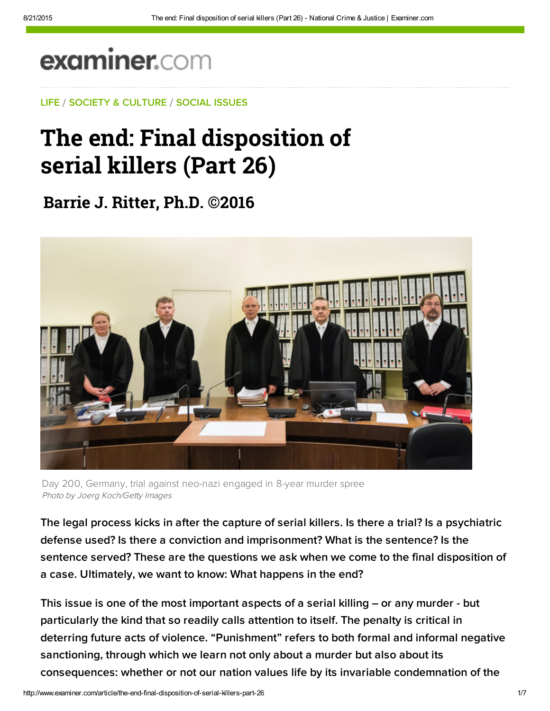## examiner.com

[LIFE](http://www.examiner.com/topic/life) / [S](http://web.adblade.com/clicks.php?appId=10176&zid=55d22321182e6&adId=234251&pos=1&impt=1440185156&zoneId=797&algid=4&reqid=53d46e60b2c2e0bd&ord=1440185156&url=http%3A%2F%2Fwww.examiner.com%2Farticle%2Fthe-end-final-disposition-of-serial-killers-part-26)[OCIETY & CULTURE](http://www.examiner.com/society-and-culture) / [SOCIAL ISSU](http://web.adblade.com/clicks.php?appId=10176&zid=55d22abc49c21&adId=234283&pos=2&impt=1440185156&zoneId=797&algid=4&reqid=53d46e60b2c2e0bd&ord=1440185156&url=http%3A%2F%2Fwww.examiner.com%2Farticle%2Fthe-end-final-disposition-of-serial-killers-part-26)[ES](http://www.examiner.com/social-issues)

## [The end: Final disp](https://adclick.g.doubleclick.net/pcs/click?xai=AKAOjsvgAV7qi_P8FMSRlm9QvgF9GbA9Q7qhtYG22EcHFUxvBB5Vg3G84-uAHtI9jyjqW6cXcCrp3MbguQDi1NAelANG85NqHxkgug_nnJOgkVQlcO3WIBVJ-APqGfFCE9ZrFlNjoBKfCbA&sig=Cg0ArKJSzIGwOzHu1d2r&adurl=http://adserver.adtechus.com/adlink/5399/3057541/0/170/AdId%3D7106499%3BBnId%3D1%3Bitime%3D185156949%3Bkvp36%3Dp36-14yrmhk9cabwbq2e%3Bkva%3Dp-1ryxepxt9bcs2%3Bkr14135%3D2253202%3Bkvc%3D731400%3Bkvi%3D26ef86293377607e04b2b47a88b66e84cf8a1ff6%3Bkr11092%3D2253217%3Bkvl%3D136123%3Bkvs%3D300x250%3Bkp%3D776012%3Blink%3Dhttp://exch.quantserve.com/r%3Fa%3Dp-1RYxePXT9bCS2%3Blabels%3D_qc.clk,_click.adserver.rtb,_click.rand.51891,_qc.template%3Brtbip%3D64.95.37.31%3Brtbdata2%3DEAQaJEFkb2JlX0ZZMTVRM19DcmVhdGl2ZV9TdG9ja19EUl9OQV9STSDYhRUou6cIMIjSLDoXaHR0cDovL3d3dy5leGFtaW5lci5jb21aKE1nV1B4ak1KaXNFcUJONlZQMU9SeXo5VGpzY3FCWVhGWWdPRjgwN2t1fHOSPoAB7uHJ0QWgAQGoAfjekAK6AShNZ1dQeGpNSmlzRXFCTjZWUDFPUnl6OVRqc2NxQllYRllnT0Y4MDdrwAHhtWTIAdeJ5o31KdoBKDI2ZWY4NjI5MzM3NzYwN2UwNGIyYjQ3YTg4YjY2ZTg0Y2Y4YTFmZjblAbXTWD3oAWSYAv2sCKgCBqgCBbACCLoCBEBfJR_AAgLIAgDQAuDo29OMmNPtmQE%3Bredirecturl2%3Dhttps://stock.adobe.com/plans%3Fsdid%3DKTELS%26as_channel%3Ddisplay%26as_campclass%3Dnonbrand%26as_camptype%3Dacquisition%26as_source%3Dquantcast%26as_campaign%3Dus_stockroidisplay_jul15)osition of serial killers (Part 26)

**[Barrie J. Rit](http://web.adblade.com/clicks.php?appId=10176&zid=55c4f10c4509c&adId=230796&pos=3&impt=1440185156&zoneId=797&algid=4&reqid=53d46e60b2c2e0bd&ord=1440185156&url=http%3A%2F%2Fwww.examiner.com%2Farticle%2Fthe-end-final-disposition-of-serial-killers-part-26)[ter, Ph.D. ©201](http://web.adblade.com/clicks.php?appId=10176&zid=55ae6637178e2&adId=224623&pos=4&impt=1440185156&zoneId=797&algid=4&reqid=53d46e60b2c2e0bd&ord=1440185156&url=http%3A%2F%2Fwww.examiner.com%2Farticle%2Fthe-end-final-disposition-of-serial-killers-part-26)6**



Day 200, Germany, trial against neo-nazi engaged in 8-year murder spree Photo by Joerg Koch/Getty Images

The legal process kicks in after the capture of serial killers. Is there a trial? Is a psychiatric defense used? Is there a conviction and imprisonment? What is the sentence? Is the sentence served? These are the questions we ask when we come to the final disposition of a case. Ultimately, we want to know: What happens in the end?

This issue is one of the most important aspects of a serial killing – or any murder - but particularly the kind that so readily calls attention to itself. The penalty is critical in deterring future acts of violence. "Punishment" refers to both formal and informal negative sanctioning, through which we learn not only about a murder but also about its consequences: whether or not our nation values life by its invariable condemnation of the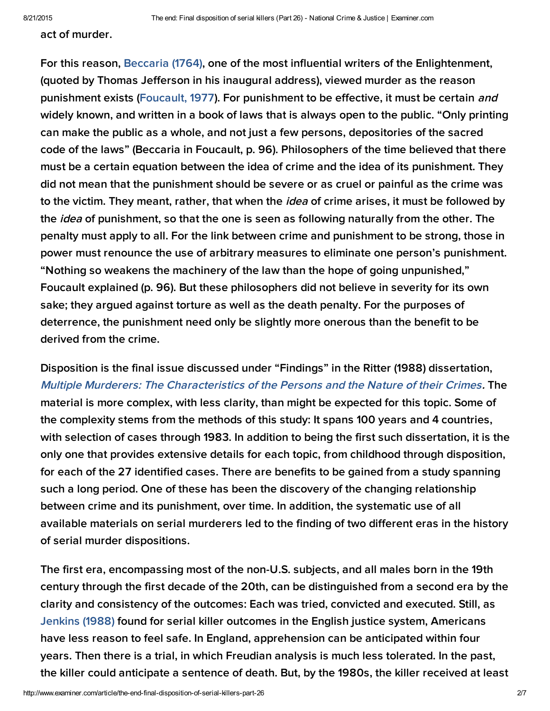act of murder.

For this reason, [Beccaria \(1764\)](http://bit.ly/1caALF8), one of the most influential writers of the Enlightenment, (quoted by Thomas Jefferson in his inaugural address), viewed murder as the reason punishment exists ([Foucault, 1977\)](http://bit.ly/1GuOIKI). For punishment to be effective, it must be certain and widely known, and written in a book of laws that is always open to the public. "Only printing can make the public as a whole, and not just a few persons, depositories of the sacred code of the laws" (Beccaria in Foucault, p. 96). Philosophers of the time believed that there must be a certain equation between the idea of crime and the idea of its punishment. They did not mean that the punishment should be severe or as cruel or painful as the crime was to the victim. They meant, rather, that when the *idea* of crime arises, it must be followed by the *idea* of punishment, so that the one is seen as following naturally from the other. The penalty must apply to all. For the link between crime and punishment to be strong, those in power must renounce the use of arbitrary measures to eliminate one person's punishment. "Nothing so weakens the machinery of the law than the hope of going unpunished," Foucault explained (p. 96). But these philosophers did not believe in severity for its own sake; they argued against torture as well as the death penalty. For the purposes of deterrence, the punishment need only be slightly more onerous than the benefit to be derived from the crime.

Disposition is the final issue discussed under "Findings" in the Ritter (1988) dissertation, [Multiple Murderers: The Characteristics of the Persons and the Nature of their Crimes](http://bit.ly/1AkC0NM). The material is more complex, with less clarity, than might be expected for this topic. Some of th[e comple](http://pubnation.com/)xity stems from the methods of this study: It spans 100 years and 4 countries, with selection of cases through 1983. In addition to being the first such dissertation, it is the only one that provides extensive details for each topic, from childhood through disposition, for each of the 27 identified cases. There are benefits to be gained from a study spanning such a long period. One of these has been the discovery of the changing relationship between crime and its punishment, over time. In addition, the systematic use of all available materials on serial murderers led to the finding of two different eras in the history of serial murder dispositions.

The first era, encompassing most of the non-U.S. subjects, and all males born in the 19th century through the first decade of the 20th, can be distinguished from a second era by the clarity and consistency of the outcomes: Each was tried, convicted and executed. Still, as [Jenkins \(1988\)](http://bit.ly/1SqqN3N) found for serial killer outcomes in the English justice system, Americans have less reason to feel safe. In England, apprehension can be anticipated within four years. Then there is a trial, in which Freudian analysis is much less tolerated. In the past, the killer could anticipate a sentence of death. But, by the 1980s, the killer received at least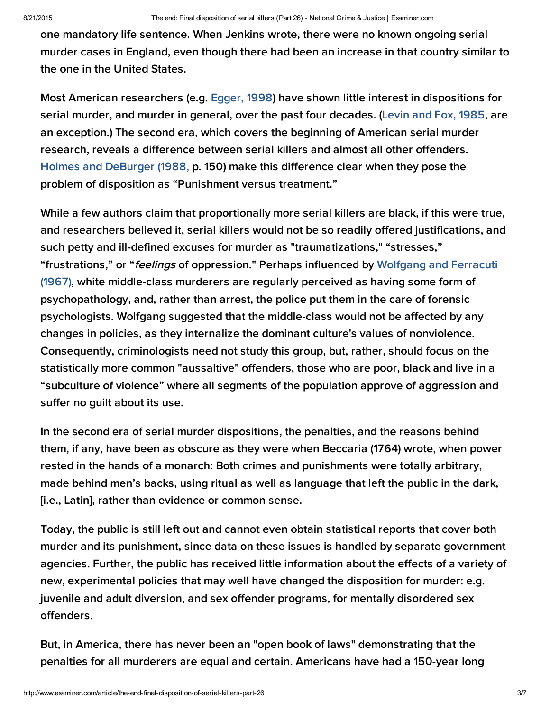one mandatory life sentence. When Jenkins wrote, there were no known ongoing serial murder cases in England, even though there had been an increase in that country similar to the one in the United States.

Most American researchers (e.g. [Egger,](http://1.usa.gov/1cSHVhK) 1998) have shown little interest in dispositions for serial murder, and murder in general, over the past four decades. [\(Levin](http://1.usa.gov/1ApOJhV) and Fox, 1985, are an exception.) The second era, which covers the beginning of American serial murder research, reveals a difference between serial killers and almost all other offenders. Holmes and [DeBurger](http://bit.ly/1PC7x4q) (1988, p. 150) make this difference clear when they pose the problem of disposition as "Punishment versus treatment."

While a few authors claim that proportionally more serial killers are black, if this were true, and researchers believed it, serial killers would not be so readily offered justifications, and such petty and ill-defined excuses for murder as "traumatizations," "stresses," ["frustrations,"](http://bit.ly/1dLkiRI) or "feelings of oppression." Perhaps influenced by Wolfgang and Ferracuti (1967), white middle-class murderers are regularly perceived as having some form of psychopathology, and, rather than arrest, the police put them in the care of forensic psychologists. Wolfgang suggested that the middle-class would not be affected by any changes in policies, as they internalize the dominant culture's values of nonviolence. Consequently, criminologists need not study this group, but, rather, should focus on the statistically more common "aussaltive" offenders, those who are poor, black and live in a "subculture of violence" where all segments of the population approve of aggression and suffer no guilt about its use.

In the second era of serial murder dispositions, the penalties, and the reasons behind them, if any, have been as obscure as they were when Beccaria (1764) wrote, when power rested in the hands of a monarch: Both crimes and punishments were totally arbitrary, made behind men's backs, using ritual as well as language that left the public in the dark, [i.e., Latin], rather than evidence or common sense.

Today, the public is still left out and cannot even obtain statistical reports that cover both murder and its punishment, since data on these issues is handled by separate government agencies. Further, the public has received little information about the effects of a variety of new, experimental policies that may well have changed the disposition for murder: e.g. juvenile and adult diversion, and sex offender programs, for mentally disordered sex offenders.

But, in America, there has never been an "open book of laws" demonstrating that the penalties for all murderers are equal and certain. Americans have had a 150-year long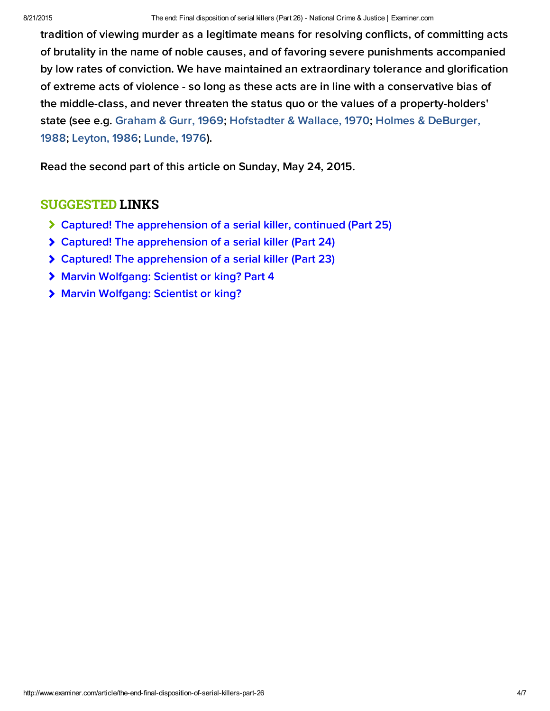tradition of viewing murder as a legitimate means for resolving conflicts, of committing acts of brutality in the name of noble causes, and of favoring severe punishments accompanied by low rates of conviction. We have maintained an extraordinary tolerance and glorification of extreme acts of violence - so long as these acts are in line with a conservative bias of the middle-class, and never threaten the status quo or the values of a property-holders' [state \(see e.g. Graham & Gurr, 1969; H](http://bit.ly/1PC7x4q)[ofstadter & Wallace, 1970](http://bit.ly/1IQwpS1)[; Holmes & DeBurger,](http://bit.ly/1PC7x4q) 1988; [Leyton, 1986;](http://bit.ly/1dkUteD) [Lunde, 1976](http://bit.ly/1Hck0GK)).

Read the second part of this article on Sunday, May 24, 2015.

## SUGGESTED LINKS

- [Captured! The apprehension of a serial killer, continued \(Part 25\)](http://www.ritterhomicideresearch.com/articles/Part-25.pdf)
- [Captured! The apprehension of a serial killer \(Part 24\)](http://www.ritterhomicideresearch.com/articles/Part-24.pdf)
- [Captured! The apprehension of a serial killer \(Part 23\)](http://www.ritterhomicideresearch.com/articles/Part-23.pdf)
- [Marvin Wolfgang: Scientist or king? Part 4](http://www.ritterhomicideresearch.com/articles/Marvin-Wolfgang_Part-4.pdf)
- [Marvin Wolfgang: Scientist or king?](http://www.ritterhomicideresearch.com/articles/Marvin-Wolfgang.pdf)